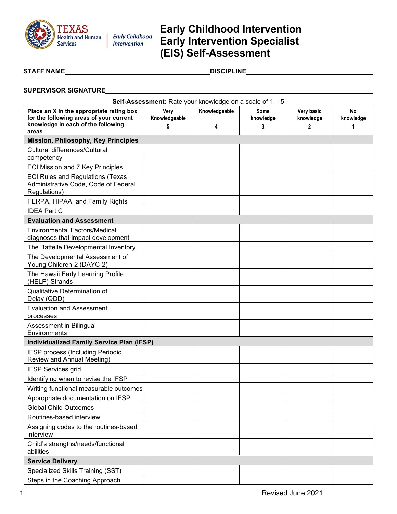

# **Early Childhood Intervention Early Intervention Specialist (EIS) Self-Assessment**

 $\begin{picture}(180,10) \put(0,0){\line(1,0){10}} \put(1,0){\line(1,0){10}} \put(1,0){\line(1,0){10}} \put(1,0){\line(1,0){10}} \put(1,0){\line(1,0){10}} \put(1,0){\line(1,0){10}} \put(1,0){\line(1,0){10}} \put(1,0){\line(1,0){10}} \put(1,0){\line(1,0){10}} \put(1,0){\line(1,0){10}} \put(1,0){\line(1,0){10}} \put(1,0){\line(1,0){10}} \put(1,$ 

#### **SUPERVISOR SIGNATURE**

| <b>Self-Assessment:</b> Rate your knowledge on a scale of $1 - 5$                                                         |                            |                    |                        |                              |                      |  |  |
|---------------------------------------------------------------------------------------------------------------------------|----------------------------|--------------------|------------------------|------------------------------|----------------------|--|--|
| Place an X in the appropriate rating box<br>for the following areas of your current<br>knowledge in each of the following | Very<br>Knowledgeable<br>5 | Knowledgeable<br>4 | Some<br>knowledge<br>3 | Very basic<br>knowledge<br>2 | No<br>knowledge<br>1 |  |  |
| areas                                                                                                                     |                            |                    |                        |                              |                      |  |  |
| <b>Mission, Philosophy, Key Principles</b><br>Cultural differences/Cultural                                               |                            |                    |                        |                              |                      |  |  |
| competency                                                                                                                |                            |                    |                        |                              |                      |  |  |
| <b>ECI Mission and 7 Key Principles</b>                                                                                   |                            |                    |                        |                              |                      |  |  |
| <b>ECI Rules and Regulations (Texas</b><br>Administrative Code, Code of Federal<br>Regulations)                           |                            |                    |                        |                              |                      |  |  |
| FERPA, HIPAA, and Family Rights                                                                                           |                            |                    |                        |                              |                      |  |  |
| <b>IDEA Part C</b>                                                                                                        |                            |                    |                        |                              |                      |  |  |
| <b>Evaluation and Assessment</b>                                                                                          |                            |                    |                        |                              |                      |  |  |
| <b>Environmental Factors/Medical</b><br>diagnoses that impact development                                                 |                            |                    |                        |                              |                      |  |  |
| The Battelle Developmental Inventory                                                                                      |                            |                    |                        |                              |                      |  |  |
| The Developmental Assessment of<br>Young Children-2 (DAYC-2)                                                              |                            |                    |                        |                              |                      |  |  |
| The Hawaii Early Learning Profile<br>(HELP) Strands                                                                       |                            |                    |                        |                              |                      |  |  |
| Qualitative Determination of<br>Delay (QDD)                                                                               |                            |                    |                        |                              |                      |  |  |
| <b>Evaluation and Assessment</b><br>processes                                                                             |                            |                    |                        |                              |                      |  |  |
| Assessment in Bilingual<br>Environments                                                                                   |                            |                    |                        |                              |                      |  |  |
| <b>Individualized Family Service Plan (IFSP)</b>                                                                          |                            |                    |                        |                              |                      |  |  |
| IFSP process (Including Periodic<br>Review and Annual Meeting)                                                            |                            |                    |                        |                              |                      |  |  |
| <b>IFSP Services grid</b>                                                                                                 |                            |                    |                        |                              |                      |  |  |
| Identifying when to revise the IFSP                                                                                       |                            |                    |                        |                              |                      |  |  |
| Writing functional measurable outcomes                                                                                    |                            |                    |                        |                              |                      |  |  |
| Appropriate documentation on IFSP                                                                                         |                            |                    |                        |                              |                      |  |  |
| <b>Global Child Outcomes</b>                                                                                              |                            |                    |                        |                              |                      |  |  |
| Routines-based interview                                                                                                  |                            |                    |                        |                              |                      |  |  |
| Assigning codes to the routines-based<br>interview                                                                        |                            |                    |                        |                              |                      |  |  |
| Child's strengths/needs/functional<br>abilities                                                                           |                            |                    |                        |                              |                      |  |  |
| <b>Service Delivery</b>                                                                                                   |                            |                    |                        |                              |                      |  |  |
| Specialized Skills Training (SST)                                                                                         |                            |                    |                        |                              |                      |  |  |
| Steps in the Coaching Approach                                                                                            |                            |                    |                        |                              |                      |  |  |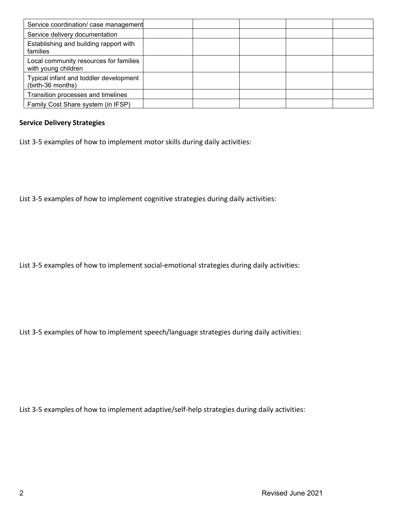| Service coordination/ case management                         |  |  |  |
|---------------------------------------------------------------|--|--|--|
| Service delivery documentation                                |  |  |  |
| Establishing and building rapport with<br>families            |  |  |  |
| Local community resources for families<br>with young children |  |  |  |
| Typical infant and toddler development<br>(birth-36 months)   |  |  |  |
| Transition processes and timelines                            |  |  |  |
| Family Cost Share system (in IFSP)                            |  |  |  |

#### **Service Delivery Strategies**

List 3-5 examples of how to implement motor skills during daily activities:

List 3-5 examples of how to implement cognitive strategies during daily activities:

List 3-5 examples of how to implement social-emotional strategies during daily activities:

List 3-5 examples of how to implement speech/language strategies during daily activities:

List 3-5 examples of how to implement adaptive/self-help strategies during daily activities: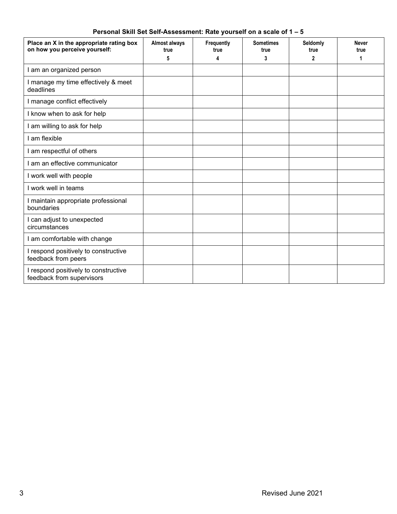| Place an X in the appropriate rating box<br>on how you perceive yourself: | <b>Almost always</b><br>true | Frequently<br>true | <b>Sometimes</b><br>true | Seldomly<br>true | <b>Never</b><br>true |
|---------------------------------------------------------------------------|------------------------------|--------------------|--------------------------|------------------|----------------------|
|                                                                           | 5                            | 4                  | 3                        | 2                | 1                    |
| I am an organized person                                                  |                              |                    |                          |                  |                      |
| I manage my time effectively & meet<br>deadlines                          |                              |                    |                          |                  |                      |
| I manage conflict effectively                                             |                              |                    |                          |                  |                      |
| I know when to ask for help                                               |                              |                    |                          |                  |                      |
| I am willing to ask for help                                              |                              |                    |                          |                  |                      |
| I am flexible                                                             |                              |                    |                          |                  |                      |
| I am respectful of others                                                 |                              |                    |                          |                  |                      |
| I am an effective communicator                                            |                              |                    |                          |                  |                      |
| I work well with people                                                   |                              |                    |                          |                  |                      |
| I work well in teams                                                      |                              |                    |                          |                  |                      |
| I maintain appropriate professional<br>boundaries                         |                              |                    |                          |                  |                      |
| I can adjust to unexpected<br>circumstances                               |                              |                    |                          |                  |                      |
| I am comfortable with change                                              |                              |                    |                          |                  |                      |
| I respond positively to constructive<br>feedback from peers               |                              |                    |                          |                  |                      |
| I respond positively to constructive<br>feedback from supervisors         |                              |                    |                          |                  |                      |

### **Personal Skill Set Self-Assessment: Rate yourself on a scale of 1 – 5**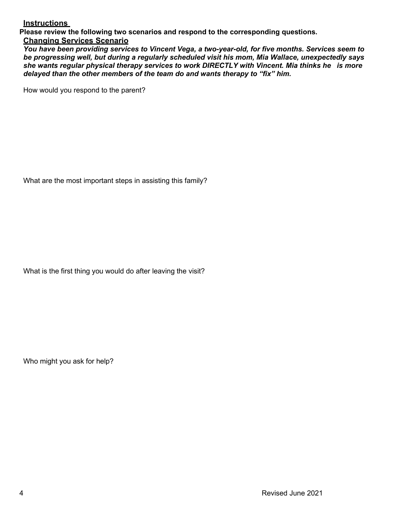#### **Instructions**

**Please review the following two scenarios and respond to the corresponding questions.** 

#### **Changing Services Scenario**

*You have been providing services to Vincent Vega, a two-year-old, for five months. Services seem to be progressing well, but during a regularly scheduled visit his mom, Mia Wallace, unexpectedly says she wants regular physical therapy services to work DIRECTLY with Vincent. Mia thinks he is more delayed than the other members of the team do and wants therapy to "fix" him.*

How would you respond to the parent?

What are the most important steps in assisting this family?

What is the first thing you would do after leaving the visit?

Who might you ask for help?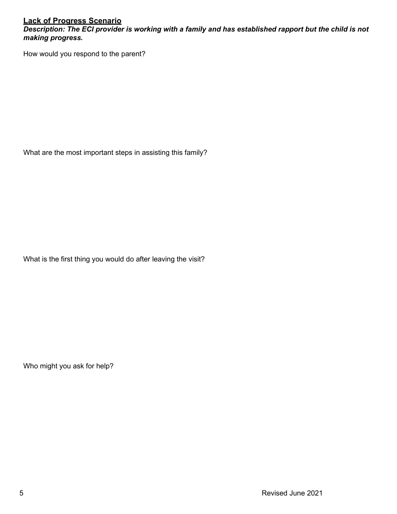### **Lack of Progress Scenario**

*Description: The ECI provider is working with a family and has established rapport but the child is not making progress.*

How would you respond to the parent?

What are the most important steps in assisting this family?

What is the first thing you would do after leaving the visit?

Who might you ask for help?